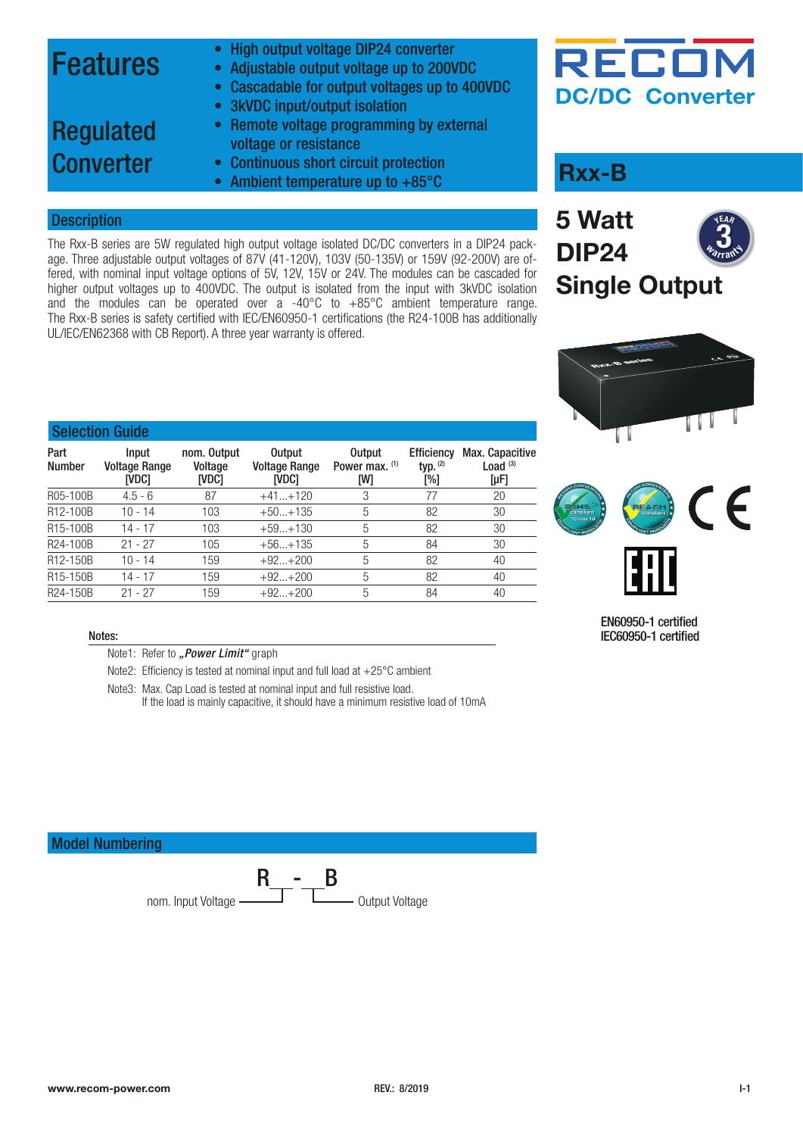### Features

- High output voltage DIP24 converter
- Adjustable output voltage up to 200VDC
- Cascadable for output voltages up to 400VDC
- 3kVDC input/output isolation
- Remote voltage programming by external voltage or resistance
- Regulated **Converter**
- Continuous short circuit protection
- Continuous short circuit protection<br>• Ambient temperature up to +85°C

#### **Description**

The Rxx-B series are 5W regulated high output voltage isolated DC/DC converters in a DIP24 package. Three adjustable output voltages of 87V (41-120V), 103V (50-135V) or 159V (92-200V) are offered, with nominal input voltage options of 5V, 12V, 15V or 24V. The modules can be cascaded for higher output voltages up to 400VDC. The output is isolated from the input with 3kVDC isolation and the modules can be operated over a -40 $^{\circ}$ C to  $+85^{\circ}$ C ambient temperature range. The Rxx-B series is safety certified with IEC/EN60950-1 certifications (the R24-100B has additionally UL/IEC/EN62368 with CB Report). A three year warranty is offered.

### RECOI **DC/DC Converter**







#### EN60950-1 certified IEC60950-1 certified

### Selection Guide

| Part<br><b>Number</b> | <b>Input</b><br><b>Voltage Range</b><br>[VDC] | nom. Output<br>Voltage<br>[VDC] | <b>Output</b><br><b>Voltage Range</b><br>[VDC] | <b>Output</b><br>Power max. (1)<br>[W] | <b>Efficiency</b><br>typ. $(2)$<br>$N_{\odot}$ | Max. Capacitive<br>Load $(3)$<br>$[\mu F]$ |
|-----------------------|-----------------------------------------------|---------------------------------|------------------------------------------------|----------------------------------------|------------------------------------------------|--------------------------------------------|
| R05-100B              | $4.5 - 6$                                     | 87                              | $+41+120$                                      | 3                                      | 77                                             | 20                                         |
| R12-100B              | 10 - 14                                       | 103                             | $+50+135$                                      | 5                                      | 82                                             | 30                                         |
| R <sub>15</sub> -100B | 14 - 17                                       | 103                             | $+59+130$                                      | 5                                      | 82                                             | 30                                         |
| R24-100B              | $21 - 27$                                     | 105                             | $+56+135$                                      | 5                                      | 84                                             | 30                                         |
| R12-150B              | 10 - 14                                       | 159                             | $+92+200$                                      | 5                                      | 82                                             | 40                                         |
| R <sub>15</sub> -150B | 14 - 17                                       | 159                             | $+92+200$                                      | 5                                      | 82                                             | 40                                         |
| R24-150B              | $21 - 27$                                     | 159                             | $+92+200$                                      | 5                                      | 84                                             | 40                                         |

#### Notes:

- Note1: Refer to ["Power Limit"](#page-1-0) graph
- Note2: Efficiency is tested at nominal input and full load at +25°C ambient
- Note3: Max. Cap Load is tested at nominal input and full resistive load.
	- If the load is mainly capacitive, it should have a minimum resistive load of 10mA

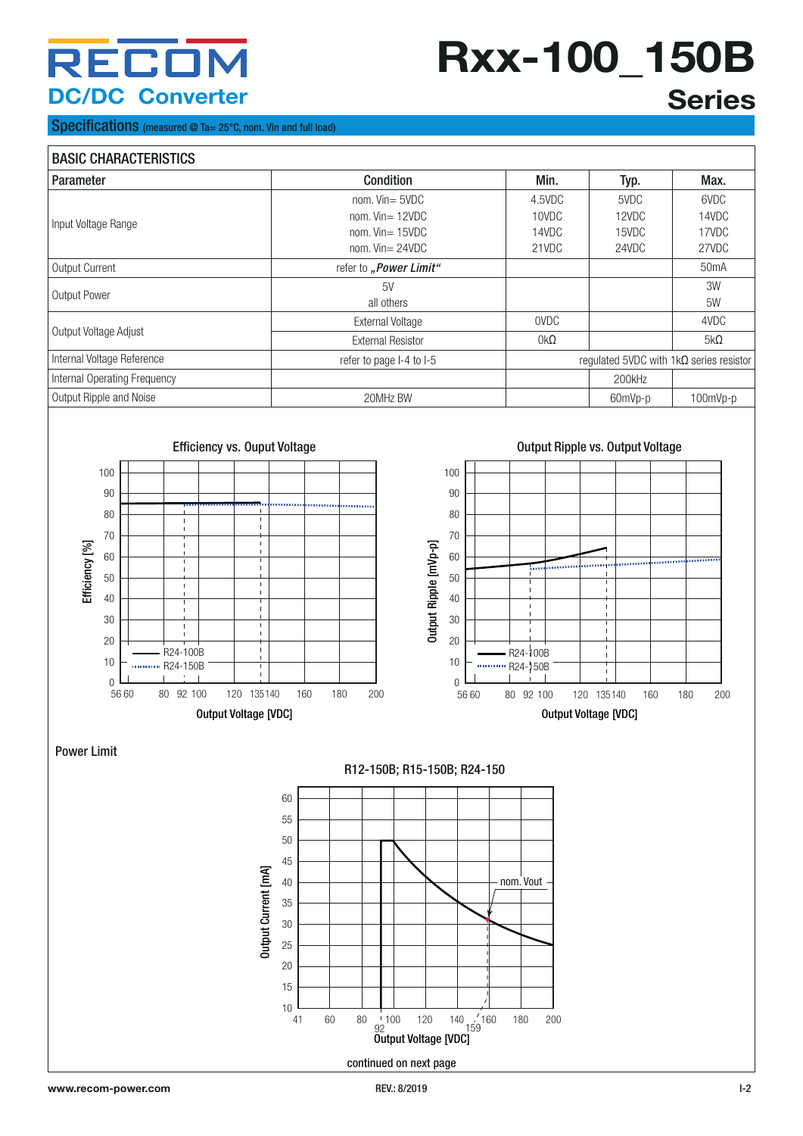## **Rxx-100\_150B Series**

#### Specifications (measured @ Ta= 25°C, nom. Vin and full load)

#### BASIC CHARACTERISTICS Parameter Condition Min. Typ. Max. Input Voltage Range nom. Vin= 5VDC nom. Vin= 12VDC nom. Vin= 15VDC nom. Vin= 24VDC 4.5VDC 10VDC 14VDC 21VDC 5VDC 12VDC 15VDC 24VDC 6VDC 14VDC 17VDC 27VDC Output Current **1988 1989 Terms** of *The Current refer to ["Power Limit"](#page-1-0) 1999 Terms of <i>S*OMA Output Power 5V and the set of the set of the set of the set of the set of the set of the set of the set of the set of the set of the set of the set of the set of the set of the set of the set of the set of the set of the all others 3W 5W Output Voltage Adjust and Contact Contact Contact Contact Contact Contact Contact Contact Contact Contact Conta<br>
The Contact Contact Contact Contact Contact Contact Contact Contact Contact Contact Contact Contact Contact C External Resistor **being contact for the set of the set of the set of the set of the set of the set of the set o** Internal Voltage Reference **reference** refer to page I-4 to I-5 regulated 5VDC with 1kΩ series resistor Internal Operating Frequency 200kHz Output Ripple and Noise **20MHz BW** 20MHz BW **60mVp-p** 100mVp-p 100mVp-p





#### <span id="page-1-0"></span>Power Limit



R15-100B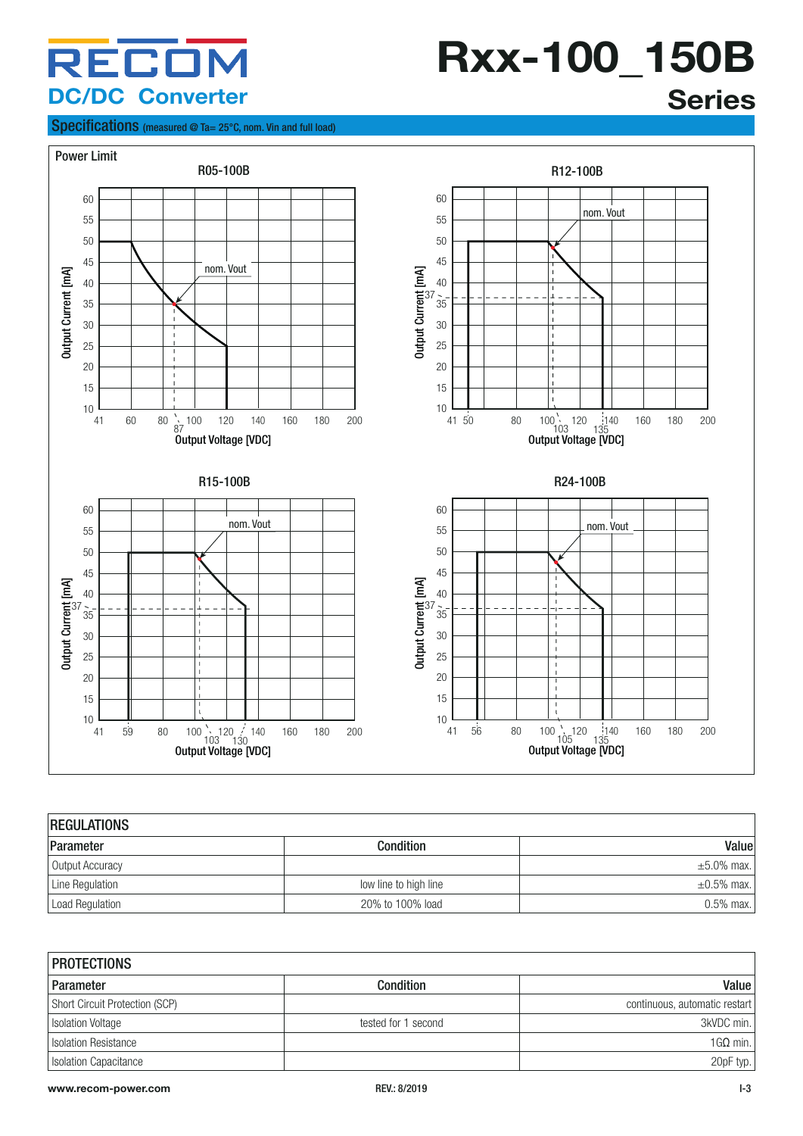#### **Rxx-100\_150B** 30 **Series**

 $\mathbf{S}(\mathbf{S}|\mathbf{S})$  and  $\mathbf{S}(\mathbf{S}|\mathbf{S})$  and  $\mathbf{S}(\mathbf{S}|\mathbf{S})$  and  $\mathbf{S}(\mathbf{S}|\mathbf{S})$  and  $\mathbf{S}(\mathbf{S}|\mathbf{S})$ 

#### Specifications (measured @ Ta= 25°C, nom. Vin and full load)



| <b>REGULATIONS</b> |                       |                  |  |
|--------------------|-----------------------|------------------|--|
| Parameter          | <b>Condition</b>      | Value            |  |
| Output Accuracy    |                       | $\pm 5.0\%$ max. |  |
| Line Regulation    | low line to high line | $\pm 0.5\%$ max. |  |
| Load Regulation    | 20% to 100% load      | $0.5\%$ max.     |  |

| <b>PROTECTIONS</b>             |                     |                               |  |
|--------------------------------|---------------------|-------------------------------|--|
| Parameter                      | <b>Condition</b>    | Value                         |  |
| Short Circuit Protection (SCP) |                     | continuous, automatic restart |  |
| Isolation Voltage              | tested for 1 second | 3kVDC min.                    |  |
| <b>Isolation Resistance</b>    |                     | $16\Omega$ min.               |  |
| Isolation Capacitance          |                     | 20pF typ.                     |  |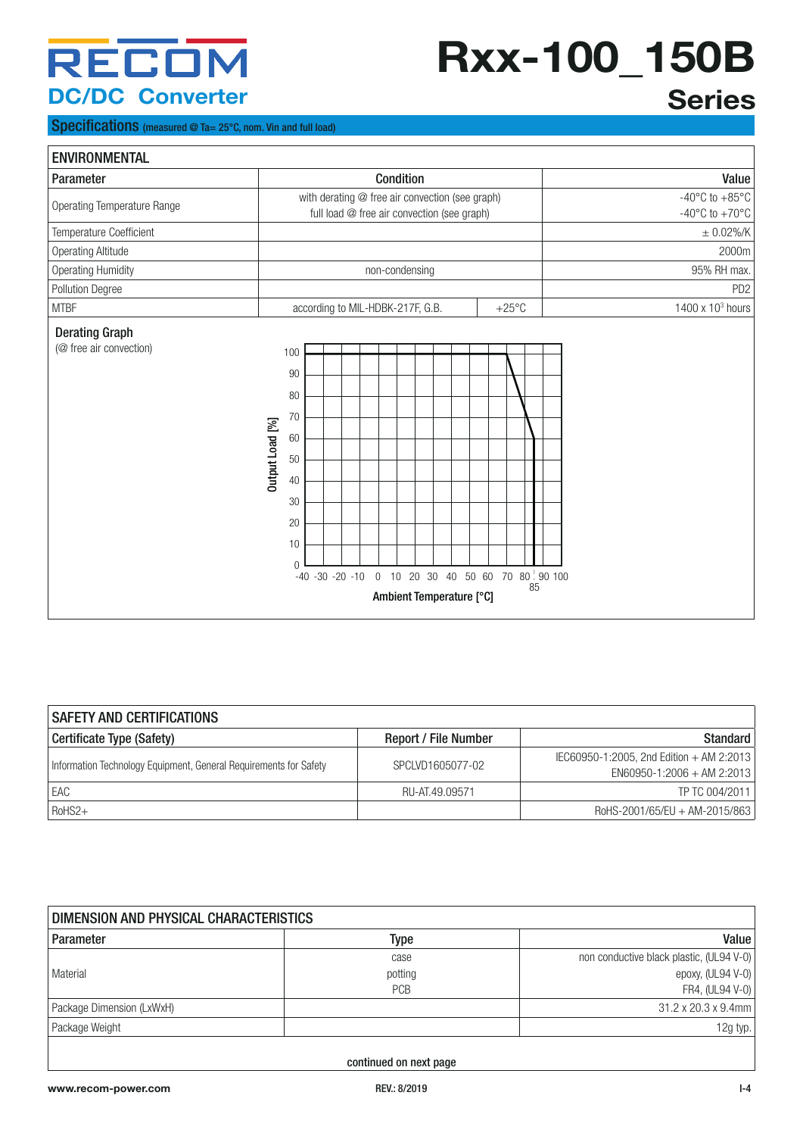# **Rxx-100\_150B**

#### Specifications (measured @ Ta= 25°C, nom. Vin and full load)

| <b>Series</b> |
|---------------|
|               |

| <b>ENVIRONMENTAL</b>               |                                                                                                                                                                                 |                                      |
|------------------------------------|---------------------------------------------------------------------------------------------------------------------------------------------------------------------------------|--------------------------------------|
| Parameter                          | Condition                                                                                                                                                                       | Value                                |
| <b>Operating Temperature Range</b> | with derating @ free air convection (see graph)                                                                                                                                 | -40 $^{\circ}$ C to +85 $^{\circ}$ C |
|                                    | full load @ free air convection (see graph)                                                                                                                                     | -40 $^{\circ}$ C to +70 $^{\circ}$ C |
| Temperature Coefficient            |                                                                                                                                                                                 | $\pm$ 0.02%/K                        |
| Operating Altitude                 |                                                                                                                                                                                 | 2000m                                |
| Operating Humidity                 | non-condensing                                                                                                                                                                  | 95% RH max.                          |
| Pollution Degree                   |                                                                                                                                                                                 | PD <sub>2</sub>                      |
| <b>MTBF</b>                        | according to MIL-HDBK-217F, G.B.<br>$+25^{\circ}$ C                                                                                                                             | 1400 x 10 <sup>3</sup> hours         |
|                                    | 90<br>80<br>70<br>Output Load [%]<br>60<br>50<br>40<br>30<br>20<br>10<br>$\Omega$<br>0 10 20 30 40 50 60 70 80 90 100<br>$-40 - 30 - 20 - 10$<br>85<br>Ambient Temperature [°C] |                                      |

| <b>SAFETY AND CERTIFICATIONS</b>                                  |                             |                                          |  |
|-------------------------------------------------------------------|-----------------------------|------------------------------------------|--|
| Certificate Type (Safety)                                         | <b>Report / File Number</b> | Standard                                 |  |
| Information Technology Equipment, General Requirements for Safety | SPCLVD1605077-02            | IEC60950-1:2005, 2nd Edition + AM 2:2013 |  |
|                                                                   |                             | $EN60950-1:2006 + AM 2:2013$             |  |
| . EAC                                                             | RU-AT.49.09571              | TP TC 004/2011                           |  |
| RoHS2+                                                            |                             | RoHS-2001/65/EU + AM-2015/863            |  |

| DIMENSION AND PHYSICAL CHARACTERISTICS |         |                                          |  |
|----------------------------------------|---------|------------------------------------------|--|
| Parameter                              | Type    | Value                                    |  |
|                                        | case    | non conductive black plastic, (UL94 V-0) |  |
| Material                               | potting | epoxy, (UL94 V-0)                        |  |
|                                        | PCB     | FR4, (UL94 V-0)                          |  |
| Package Dimension (LxWxH)              |         | $31.2 \times 20.3 \times 9.4$ mm         |  |
| Package Weight                         |         | 12g typ. $ $                             |  |
|                                        |         |                                          |  |

continued on next page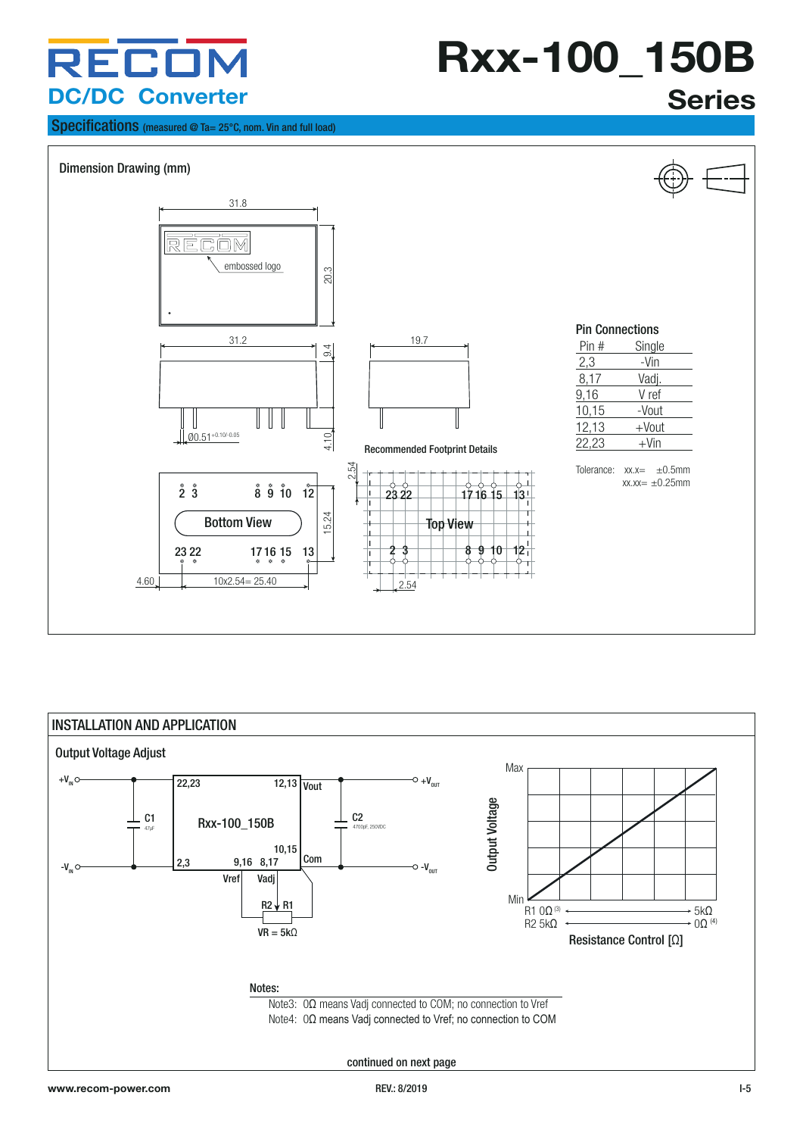# **Rxx-100\_150B**

#### Specifications (measured @ Ta= 25°C, nom. Vin and full load)





### INSTALLATION AND APPLICATION